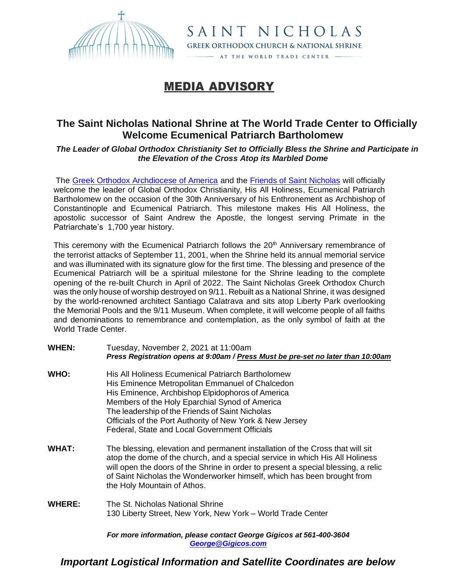

MEDIA ADVISORY

## **The Saint Nicholas National Shrine at The World Trade Center to Officially Welcome Ecumenical Patriarch Bartholomew**

SAINT NICHOLAS **GREEK ORTHODOX CHURCH & NATIONAL SHRINE** AT THE WORLD TRADE CENTER

*The Leader of Global Orthodox Christianity Set to Officially Bless the Shrine and Participate in the Elevation of the Cross Atop its Marbled Dome*

The [Greek Orthodox Archdiocese of America](http://goarch.org/) and the [Friends of Saint Nicholas](http://stnicholaswtc.org/) will officially welcome the leader of Global Orthodox Christianity, His All Holiness, Ecumenical Patriarch Bartholomew on the occasion of the 30th Anniversary of his Enthronement as Archbishop of Constantinople and Ecumenical Patriarch. This milestone makes His All Holiness, the apostolic successor of Saint Andrew the Apostle, the longest serving Primate in the Patriarchate's 1,700 year history.

This ceremony with the Ecumenical Patriarch follows the  $20<sup>th</sup>$  Anniversary remembrance of the terrorist attacks of September 11, 2001, when the Shrine held its annual memorial service and was illuminated with its signature glow for the first time. The blessing and presence of the Ecumenical Patriarch will be a spiritual milestone for the Shrine leading to the complete opening of the re-built Church in April of 2022. The Saint Nicholas Greek Orthodox Church was the only house of worship destroyed on 9/11. Rebuilt as a National Shrine, it was designed by the world-renowned architect Santiago Calatrava and sits atop Liberty Park overlooking the Memorial Pools and the 9/11 Museum. When complete, it will welcome people of all faiths and denominations to remembrance and contemplation, as the only symbol of faith at the World Trade Center.

**WHEN:** Tuesday, November 2, 2021 at 11:00am *Press Registration opens at 9:00am / Press Must be pre-set no later than 10:00am* **WHO:** His All Holiness Ecumenical Patriarch Bartholomew His Eminence Metropolitan Emmanuel of Chalcedon His Eminence, Archbishop Elpidophoros of America Members of the Holy Eparchial Synod of America The leadership of the Friends of Saint Nicholas Officials of the Port Authority of New York & New Jersey Federal, State and Local Government Officials **WHAT:** The blessing, elevation and permanent installation of the Cross that will sit atop the dome of the church, and a special service in which His All Holiness will open the doors of the Shrine in order to present a special blessing, a relic of Saint Nicholas the Wonderworker himself, which has been brought from the Holy Mountain of Athos. **WHERE:** The St. Nicholas National Shrine 130 Liberty Street, New York, New York – World Trade Center

*For more information, please contact George Gigicos at 561-400-3604 [George@Gigicos.com](mailto:George@Gigicos.com)*

*Important Logistical Information and Satellite Coordinates are below*